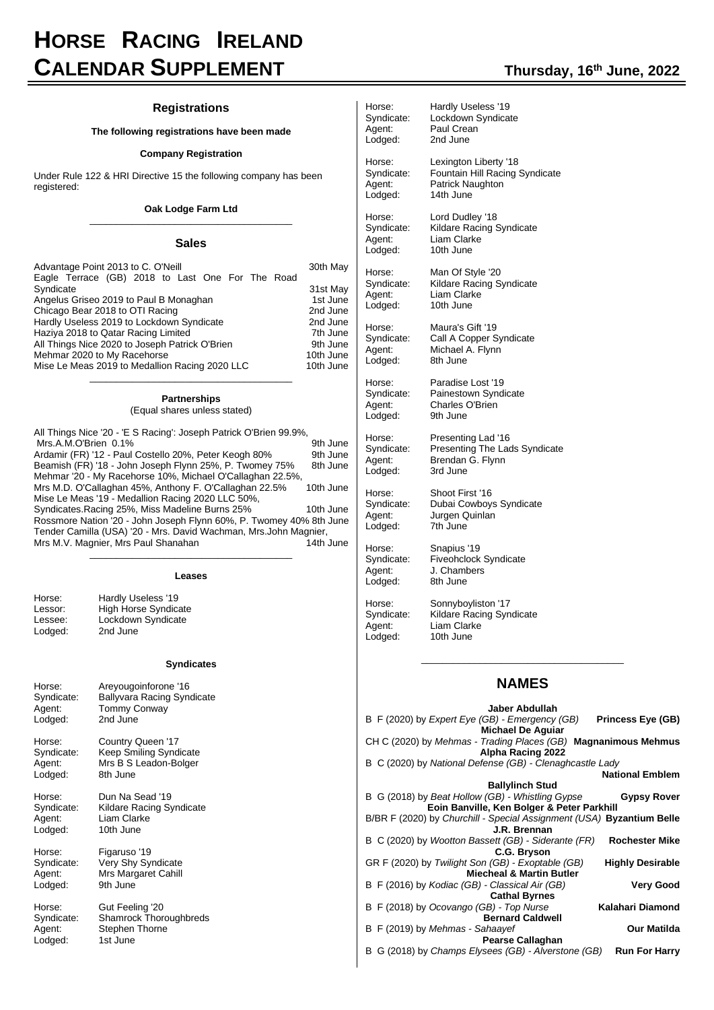# **HORSE RACING IRELAND CALENDAR SUPPLEMENT Thursday, <sup>16</sup>th June, 2022**

#### **Registrations**

#### **The following registrations have been made**

#### **Company Registration**

Under Rule 122 & HRI Directive 15 the following company has been registered:

#### **Oak Lodge Farm Ltd** \_\_\_\_\_\_\_\_\_\_\_\_\_\_\_\_\_\_\_\_\_\_\_\_\_\_\_\_\_\_\_\_\_\_\_\_\_\_

#### **Sales**

| Advantage Point 2013 to C. O'Neill<br>Eagle Terrace (GB) 2018 to Last One For The Road | 30th May  |
|----------------------------------------------------------------------------------------|-----------|
| Syndicate                                                                              | 31st May  |
| Angelus Griseo 2019 to Paul B Monaghan                                                 | 1st June  |
| Chicago Bear 2018 to OTI Racing                                                        | 2nd June  |
| Hardly Useless 2019 to Lockdown Syndicate                                              | 2nd June  |
| Haziya 2018 to Qatar Racing Limited                                                    | 7th June  |
| All Things Nice 2020 to Joseph Patrick O'Brien                                         | 9th June  |
| Mehmar 2020 to My Racehorse                                                            | 10th June |
| Mise Le Meas 2019 to Medallion Racing 2020 LLC                                         | 10th June |

# **Partnerships**

(Equal shares unless stated)

\_\_\_\_\_\_\_\_\_\_\_\_\_\_\_\_\_\_\_\_\_\_\_\_\_\_\_\_\_\_\_\_\_\_\_\_\_\_

| All Things Nice '20 - 'E S Racing': Joseph Patrick O'Brien 99.9%,   |           |
|---------------------------------------------------------------------|-----------|
| Mrs.A.M.O'Brien 0.1%                                                | 9th June  |
| Ardamir (FR) '12 - Paul Costello 20%, Peter Keogh 80%               | 9th June  |
| Beamish (FR) '18 - John Joseph Flynn 25%, P. Twomey 75%             | 8th June  |
| Mehmar '20 - My Racehorse 10%, Michael O'Callaghan 22.5%,           |           |
| Mrs M.D. O'Callaghan 45%, Anthony F. O'Callaghan 22.5%              | 10th June |
| Mise Le Meas '19 - Medallion Racing 2020 LLC 50%,                   |           |
| Syndicates. Racing 25%, Miss Madeline Burns 25%                     | 10th June |
| Rossmore Nation '20 - John Joseph Flynn 60%, P. Twomey 40% 8th June |           |
| Tender Camilla (USA) '20 - Mrs. David Wachman, Mrs.John Magnier,    |           |
| Mrs M.V. Magnier, Mrs Paul Shanahan                                 | 14th June |
|                                                                     |           |

|            | Leases                            |
|------------|-----------------------------------|
| Horse:     | Hardly Useless '19                |
| Lessor:    | High Horse Syndicate              |
| Lessee:    | Lockdown Syndicate                |
| Lodged:    | 2nd June                          |
|            | <b>Syndicates</b>                 |
| Horse:     | Areyougoinforone '16              |
| Syndicate: | <b>Ballyvara Racing Syndicate</b> |
| Agent:     | <b>Tommy Conway</b>               |
| Lodged:    | 2nd June                          |
| Horse:     | Country Queen '17                 |
| Syndicate: | <b>Keep Smiling Syndicate</b>     |
| Agent:     | Mrs B S Leadon-Bolger             |
| Lodged:    | 8th June                          |
| Horse:     | Dun Na Sead '19                   |
| Syndicate: | Kildare Racing Syndicate          |
| Agent:     | Liam Clarke                       |
| Lodged:    | 10th June                         |
| Horse:     | Figaruso '19                      |
| Syndicate: | Very Shy Syndicate                |
| Agent:     | Mrs Margaret Cahill               |
| Lodged:    | 9th June                          |
| Horse:     | Gut Feeling '20                   |
| Syndicate: | <b>Shamrock Thoroughbreds</b>     |
| Agent:     | Stephen Thorne                    |

Stephen Thorne<br>1st June

Lodged:

|  | Thursday, 16 <sup>th</sup> June, 2022 |  |
|--|---------------------------------------|--|
|--|---------------------------------------|--|

| Horse:     | Hardly Useless '19             |
|------------|--------------------------------|
| Syndicate: | Lockdown Syndicate             |
| Agent:     | Paul Crean                     |
| Lodged:    | 2nd June                       |
| Horse:     | Lexington Liberty '18          |
| Syndicate: | Fountain Hill Racing Syndicate |
| Agent:     | Patrick Naughton               |
| Lodged:    | 14th June                      |
| Horse:     | Lord Dudley '18                |
| Syndicate: | Kildare Racing Syndicate       |
| Agent:     | Liam Clarke                    |
| Lodged:    | 10th June                      |
| Horse:     | Man Of Style '20               |
| Syndicate: | Kildare Racing Syndicate       |
| Agent:     | Liam Clarke                    |
| Lodged:    | 10th June                      |
| Horse:     | Maura's Gift '19               |
| Syndicate: | Call A Copper Syndicate        |
| Agent:     | Michael A. Flynn               |
| Lodged:    | 8th June                       |
| Horse:     | Paradise Lost '19              |
| Syndicate: | Painestown Syndicate           |
| Agent:     | Charles O'Brien                |
| Lodged:    | 9th June                       |
| Horse:     | Presenting Lad '16             |
| Syndicate: | Presenting The Lads Syndicate  |
| Agent:     | Brendan G. Flynn               |
| Lodged:    | 3rd June                       |
| Horse:     | Shoot First '16                |
| Syndicate: | Dubai Cowboys Syndicate        |
| Agent:     | Jurgen Quinlan                 |
| Lodged:    | 7th June                       |
| Horse:     | Snapius '19                    |
| Syndicate: | Fiveohclock Syndicate          |
| Agent:     | J. Chambers                    |
| Lodged:    | 8th June                       |
| Horse:     | Sonnyboyliston '17             |
| Syndicate: | Kildare Racing Syndicate       |
| Agent:     | Liam Clarke                    |
| Lodged:    | 10th June                      |

# **NAMES**

\_\_\_\_\_\_\_\_\_\_\_\_\_\_\_\_\_\_\_\_\_\_\_\_\_\_\_\_\_\_\_\_\_\_\_\_\_\_

| Jaber Abdullah                                                        |                         |
|-----------------------------------------------------------------------|-------------------------|
| B F (2020) by Expert Eye (GB) - Emergency (GB) Princess Eye (GB)      |                         |
| <b>Michael De Aquiar</b>                                              |                         |
| CH C (2020) by Mehmas - Trading Places (GB) Magnanimous Mehmus        |                         |
| Alpha Racing 2022                                                     |                         |
| B C (2020) by National Defense (GB) - Clenaghcastle Lady              |                         |
|                                                                       | <b>National Emblem</b>  |
| <b>Ballylinch Stud</b>                                                |                         |
| B G (2018) by Beat Hollow (GB) - Whistling Gypse                      | <b>Gypsy Rover</b>      |
| Eoin Banville, Ken Bolger & Peter Parkhill                            |                         |
| B/BR F (2020) by Churchill - Special Assignment (USA) Byzantium Belle |                         |
| J.R. Brennan                                                          |                         |
| B C (2020) by Wootton Bassett (GB) - Siderante (FR)                   | <b>Rochester Mike</b>   |
| C.G. Bryson                                                           |                         |
| GR F (2020) by Twilight Son (GB) - Exoptable (GB)                     | <b>Highly Desirable</b> |
| <b>Miecheal &amp; Martin Butler</b>                                   |                         |
| B F (2016) by Kodiac (GB) - Classical Air (GB)                        | <b>Very Good</b>        |
| <b>Cathal Byrnes</b>                                                  |                         |
| B F (2018) by Ocovango (GB) - Top Nurse                               | Kalahari Diamond        |
| <b>Bernard Caldwell</b>                                               |                         |
| B F (2019) by Mehmas - Sahaayef                                       | <b>Our Matilda</b>      |
| Pearse Callaghan                                                      |                         |
| B G (2018) by Champs Elysees (GB) - Alverstone (GB)                   | <b>Run For Harry</b>    |
|                                                                       |                         |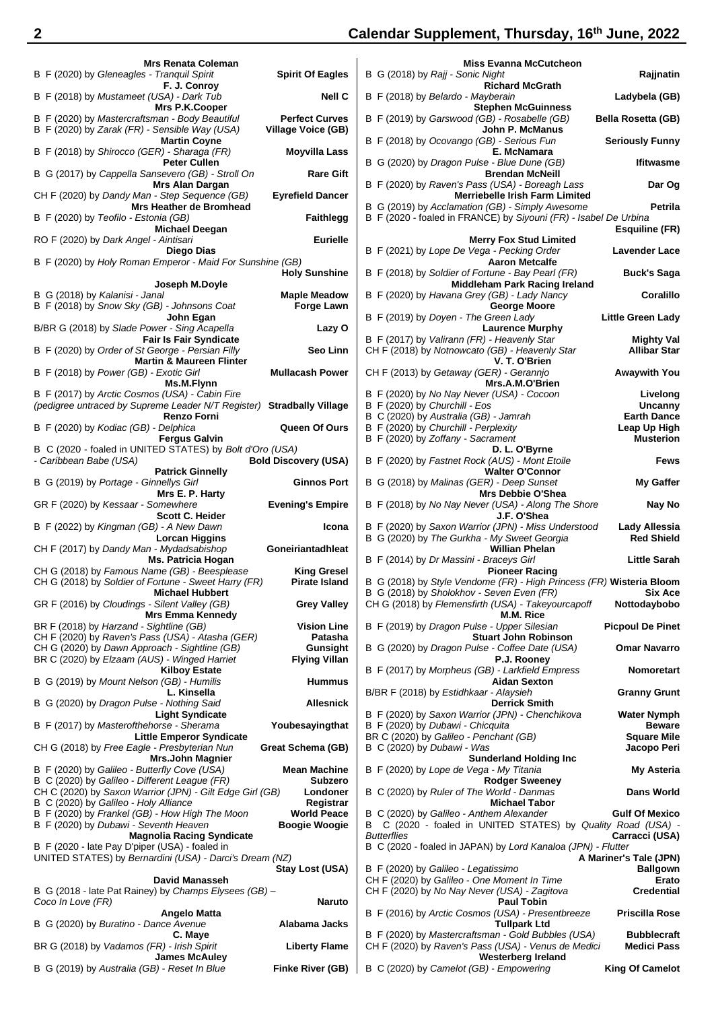# **2 Calendar Supplement, Thursday, 16th June, 2022**

| <b>Mrs Renata Coleman</b>                                 |                             | <b>Miss Evanna McCutcheon</b>                                        |                           |
|-----------------------------------------------------------|-----------------------------|----------------------------------------------------------------------|---------------------------|
| B F (2020) by Gleneagles - Tranquil Spirit                | <b>Spirit Of Eagles</b>     | B G (2018) by Rajj - Sonic Night                                     | Rajjnatin                 |
| F. J. Conroy                                              |                             | <b>Richard McGrath</b>                                               |                           |
| B F (2018) by Mustameet (USA) - Dark Tub                  | <b>Nell C</b>               | B F (2018) by Belardo - Mayberain                                    | Ladybela (GB)             |
| Mrs P.K.Cooper                                            |                             | <b>Stephen McGuinness</b>                                            |                           |
| B F (2020) by Mastercraftsman - Body Beautiful            | <b>Perfect Curves</b>       | B F (2019) by Garswood (GB) - Rosabelle (GB)                         | <b>Bella Rosetta (GB)</b> |
| B F (2020) by Zarak (FR) - Sensible Way (USA)             | <b>Village Voice (GB)</b>   | John P. McManus                                                      |                           |
| <b>Martin Coyne</b>                                       |                             | B F (2018) by Ocovango (GB) - Serious Fun                            | <b>Seriously Funny</b>    |
| B F (2018) by Shirocco (GER) - Sharaga (FR)               |                             | E. McNamara                                                          |                           |
|                                                           | Moyvilla Lass               | B G (2020) by Dragon Pulse - Blue Dune (GB)                          |                           |
| <b>Peter Cullen</b>                                       |                             |                                                                      | <b>Ifitwasme</b>          |
| B G (2017) by Cappella Sansevero (GB) - Stroll On         | <b>Rare Gift</b>            | <b>Brendan McNeill</b>                                               |                           |
| Mrs Alan Dargan                                           |                             | B F (2020) by Raven's Pass (USA) - Boreagh Lass                      | Dar Og                    |
| CH F (2020) by Dandy Man - Step Sequence (GB)             | <b>Eyrefield Dancer</b>     | <b>Merriebelle Irish Farm Limited</b>                                |                           |
| <b>Mrs Heather de Bromhead</b>                            |                             | B G (2019) by Acclamation (GB) - Simply Awesome                      | <b>Petrila</b>            |
| B F (2020) by Teofilo - Estonia (GB)                      | <b>Faithlegg</b>            | B F (2020 - foaled in FRANCE) by Siyouni (FR) - Isabel De Urbina     |                           |
| <b>Michael Deegan</b>                                     |                             |                                                                      | <b>Esquiline (FR)</b>     |
| RO F (2020) by <i>Dark Angel - Aintisari</i>              | <b>Eurielle</b>             | <b>Merry Fox Stud Limited</b>                                        |                           |
| Diego Dias                                                |                             | B F (2021) by Lope De Vega - Pecking Order                           | <b>Lavender Lace</b>      |
| B F (2020) by Holy Roman Emperor - Maid For Sunshine (GB) |                             | <b>Aaron Metcalfe</b>                                                |                           |
|                                                           | <b>Holy Sunshine</b>        | B F (2018) by Soldier of Fortune - Bay Pearl (FR)                    | <b>Buck's Saga</b>        |
| Joseph M.Doyle                                            |                             | <b>Middleham Park Racing Ireland</b>                                 |                           |
| B G (2018) by Kalanisi - Janal                            | <b>Maple Meadow</b>         | B F (2020) by Havana Grey (GB) - Lady Nancy                          | Coralillo                 |
| B F (2018) by Snow Sky (GB) - Johnsons Coat               | <b>Forge Lawn</b>           | George Moore                                                         |                           |
| John Egan                                                 |                             | B F (2019) by Doyen - The Green Lady                                 | <b>Little Green Lady</b>  |
| B/BR G (2018) by Slade Power - Sing Acapella              | Lazy O                      | <b>Laurence Murphy</b>                                               |                           |
| <b>Fair Is Fair Syndicate</b>                             |                             | B F (2017) by Valirann (FR) - Heavenly Star                          | <b>Mighty Val</b>         |
| B F (2020) by Order of St George - Persian Filly          | <b>Seo Linn</b>             | CH F (2018) by Notnowcato (GB) - Heavenly Star                       | <b>Allibar Star</b>       |
| <b>Martin &amp; Maureen Flinter</b>                       |                             | V. T. O'Brien                                                        |                           |
| B F (2018) by Power (GB) - Exotic Girl                    | <b>Mullacash Power</b>      | CH F (2013) by Getaway (GER) - Gerannio                              | <b>Awaywith You</b>       |
|                                                           |                             |                                                                      |                           |
| Ms.M.Flynn                                                |                             | Mrs.A.M.O'Brien                                                      |                           |
| B F (2017) by Arctic Cosmos (USA) - Cabin Fire            |                             | B F (2020) by No Nay Never (USA) - Cocoon                            | Livelong                  |
| (pedigree untraced by Supreme Leader N/T Register)        | <b>Stradbally Village</b>   | B F (2020) by Churchill - Eos                                        | Uncanny                   |
| <b>Renzo Forni</b>                                        |                             | B C (2020) by Australia (GB) - Jamrah                                | <b>Earth Dance</b>        |
| B F (2020) by Kodiac (GB) - Delphica                      | Queen Of Ours               | B F (2020) by Churchill - Perplexity                                 | Leap Up High              |
| <b>Fergus Galvin</b>                                      |                             | B F (2020) by Zoffany - Sacrament                                    | <b>Musterion</b>          |
| B C (2020 - foaled in UNITED STATES) by Bolt d'Oro (USA)  |                             | D. L. O'Byrne                                                        |                           |
| - Caribbean Babe (USA)                                    | <b>Bold Discovery (USA)</b> | B F (2020) by Fastnet Rock (AUS) - Mont Etoile                       | <b>Fews</b>               |
| <b>Patrick Ginnelly</b>                                   |                             | <b>Walter O'Connor</b>                                               |                           |
| B G (2019) by Portage - Ginnellys Girl                    | <b>Ginnos Port</b>          | B G (2018) by Malinas (GER) - Deep Sunset                            | <b>My Gaffer</b>          |
| Mrs E. P. Harty                                           |                             | Mrs Debbie O'Shea                                                    |                           |
| GR F (2020) by Kessaar - Somewhere                        | <b>Evening's Empire</b>     | B F (2018) by No Nay Never (USA) - Along The Shore                   | Nay No                    |
| <b>Scott C. Heider</b>                                    |                             | J.F. O'Shea                                                          |                           |
| B F (2022) by Kingman (GB) - A New Dawn                   | Icona                       | B F (2020) by Saxon Warrior (JPN) - Miss Understood                  | Lady Allessia             |
| Lorcan Higgins                                            |                             | B G (2020) by The Gurkha - My Sweet Georgia                          | <b>Red Shield</b>         |
| CH F (2017) by Dandy Man - Mydadsabishop                  | Goneiriantadhleat           | <b>Willian Phelan</b>                                                |                           |
| Ms. Patricia Hogan                                        |                             | B F (2014) by Dr Massini - Braceys Girl                              | <b>Little Sarah</b>       |
| CH G (2018) by Famous Name (GB) - Beesplease              | <b>King Gresel</b>          | <b>Pioneer Racing</b>                                                |                           |
| CH G (2018) by Soldier of Fortune - Sweet Harry (FR)      | <b>Pirate Island</b>        | B G (2018) by Style Vendome (FR) - High Princess (FR) Wisteria Bloom |                           |
|                                                           |                             |                                                                      |                           |
| <b>Michael Hubbert</b>                                    |                             | B G (2018) by Sholokhov - Seven Even (FR)                            | Six Ace                   |
| GR F (2016) by Cloudings - Silent Valley (GB)             | <b>Grey Valley</b>          | CH G (2018) by Flemensfirth (USA) - Takeyourcapoff                   | Nottodaybobo              |
| <b>Mrs Emma Kennedy</b>                                   |                             | M.M. Rice                                                            |                           |
| BR F (2018) by Harzand - Sightline (GB)                   | <b>Vision Line</b>          | B F (2019) by Dragon Pulse - Upper Silesian                          | <b>Picpoul De Pinet</b>   |
| CH F (2020) by Raven's Pass (USA) - Atasha (GER)          | Patasha                     | <b>Stuart John Robinson</b>                                          |                           |
| CH G (2020) by Dawn Approach - Sightline (GB)             | Gunsight                    | B G (2020) by Dragon Pulse - Coffee Date (USA)                       | <b>Omar Navarro</b>       |
| BR C (2020) by Elzaam (AUS) - Winged Harriet              | <b>Flying Villan</b>        | P.J. Rooney                                                          |                           |
| <b>Kilboy Estate</b>                                      |                             | B F (2017) by Morpheus (GB) - Larkfield Empress                      | <b>Nomoretart</b>         |
| B G (2019) by Mount Nelson (GB) - Humilis                 | <b>Hummus</b>               | <b>Aidan Sexton</b>                                                  |                           |
| L. Kinsella                                               |                             | B/BR F (2018) by Estidhkaar - Alaysieh                               | <b>Granny Grunt</b>       |
| B G (2020) by Dragon Pulse - Nothing Said                 | <b>Allesnick</b>            | <b>Derrick Smith</b>                                                 |                           |
| <b>Light Syndicate</b>                                    |                             | B F (2020) by Saxon Warrior (JPN) - Chenchikova                      | <b>Water Nymph</b>        |
| B F (2017) by Masterofthehorse - Sherama                  | Youbesayingthat             | B F (2020) by Dubawi - Chicquita                                     | <b>Beware</b>             |
| <b>Little Emperor Syndicate</b>                           |                             | BR C (2020) by Galileo - Penchant (GB)                               | <b>Square Mile</b>        |
| CH G (2018) by Free Eagle - Presbyterian Nun              | <b>Great Schema (GB)</b>    | B C (2020) by Dubawi - Was                                           | Jacopo Peri               |
| Mrs.John Magnier                                          |                             | <b>Sunderland Holding Inc.</b>                                       |                           |
| B F (2020) by Galileo - Butterfly Cove (USA)              | <b>Mean Machine</b>         | B F (2020) by Lope de Vega - My Titania                              | <b>My Asteria</b>         |
| B C (2020) by Galileo - Different League (FR)             | <b>Subzero</b>              | <b>Rodger Sweeney</b>                                                |                           |
| CH C (2020) by Saxon Warrior (JPN) - Gilt Edge Girl (GB)  | Londoner                    | B C (2020) by Ruler of The World - Danmas                            | Dans World                |
| B C (2020) by Galileo - Holy Alliance                     | Registrar                   | <b>Michael Tabor</b>                                                 |                           |
| B F (2020) by Frankel (GB) - How High The Moon            | <b>World Peace</b>          | B C (2020) by Galileo - Anthem Alexander                             | <b>Gulf Of Mexico</b>     |
| B F (2020) by Dubawi - Seventh Heaven                     | <b>Boogie Woogie</b>        | B C (2020 - foaled in UNITED STATES) by Quality Road (USA) -         |                           |
| <b>Magnolia Racing Syndicate</b>                          |                             | <b>Butterflies</b>                                                   | Carracci (USA)            |
| B F (2020 - late Pay D'piper (USA) - foaled in            |                             | B C (2020 - foaled in JAPAN) by Lord Kanaloa (JPN) - Flutter         |                           |
| UNITED STATES) by Bernardini (USA) - Darci's Dream (NZ)   |                             |                                                                      | A Mariner's Tale (JPN)    |
|                                                           | Stay Lost (USA)             | B F (2020) by Galileo - Legatissimo                                  | <b>Ballgown</b>           |
| David Manasseh                                            |                             | CH F (2020) by Galileo - One Moment In Time                          | Erato                     |
| B G (2018 - late Pat Rainey) by Champs Elysees (GB) -     |                             | CH F (2020) by No Nay Never (USA) - Zagitova                         | <b>Credential</b>         |
| Coco In Love (FR)                                         |                             |                                                                      |                           |
| Angelo Matta                                              |                             |                                                                      |                           |
|                                                           | <b>Naruto</b>               | <b>Paul Tobin</b>                                                    |                           |
|                                                           |                             | B F (2016) by Arctic Cosmos (USA) - Presentbreeze                    | <b>Priscilla Rose</b>     |
|                                                           | Alabama Jacks               | <b>Tullpark Ltd</b>                                                  |                           |
| B G (2020) by Buratino - Dance Avenue<br>C. Maye          |                             | B F (2020) by Mastercraftsman - Gold Bubbles (USA)                   | <b>Bubblecraft</b>        |
| BR G (2018) by Vadamos (FR) - Irish Spirit                | <b>Liberty Flame</b>        | CH F (2020) by Raven's Pass (USA) - Venus de Medici                  | <b>Medici Pass</b>        |
| <b>James McAuley</b>                                      |                             | Westerberg Ireland                                                   |                           |
| B G (2019) by Australia (GB) - Reset In Blue              | Finke River (GB)            | B C (2020) by Camelot (GB) - Empowering                              | <b>King Of Camelot</b>    |

| <b>Mrs Renata Coleman</b>                                                                                               |                                                    |
|-------------------------------------------------------------------------------------------------------------------------|----------------------------------------------------|
| B F (2020) by Gleneagles - Tranquil Spirit<br>F. J. Conroy                                                              | <b>Spirit Of Eagles</b>                            |
| B F (2018) by Mustameet (USA) - Dark Tub                                                                                | <b>Nell C</b>                                      |
| Mrs P.K.Cooper<br>B F (2020) by Mastercraftsman - Body Beautiful<br>B F (2020) by Zarak (FR) - Sensible Way (USA)       | <b>Perfect Curves</b><br><b>Village Voice (GB)</b> |
| <b>Martin Coyne</b><br>B F (2018) by Shirocco (GER) - Sharaga (FR)<br><b>Peter Cullen</b>                               | <b>Moyvilla Lass</b>                               |
| B G (2017) by Cappella Sansevero (GB) - Stroll On<br><b>Mrs Alan Dargan</b>                                             | <b>Rare Gift</b>                                   |
| CH F (2020) by Dandy Man - Step Sequence (GB)<br>Mrs Heather de Bromhead                                                | <b>Eyrefield Dancer</b>                            |
| B F (2020) by Teofilo - Estonia (GB)                                                                                    | <b>Faithlegg</b>                                   |
| <b>Michael Deegan</b><br>RO F (2020) by Dark Angel - Aintisari                                                          | <b>Eurielle</b>                                    |
| Diego Dias<br>B F (2020) by Holy Roman Emperor - Maid For Sunshine (GB)                                                 | <b>Holy Sunshine</b>                               |
| Joseph M.Doyle<br>B G (2018) by Kalanisi - Janal                                                                        | <b>Maple Meadow</b>                                |
| B F (2018) by Snow Sky (GB) - Johnsons Coat<br>John Egan                                                                | <b>Forge Lawn</b>                                  |
| B/BR G (2018) by Slade Power - Sing Acapella<br>Fair Is Fair Syndicate                                                  | Lazy O                                             |
| B F (2020) by Order of St George - Persian Filly<br><b>Martin &amp; Maureen Flinter</b>                                 | Seo Linn                                           |
| B F (2018) by Power (GB) - Exotic Girl<br>Ms.M.Flynn                                                                    | <b>Mullacash Power</b>                             |
| B F (2017) by Arctic Cosmos (USA) - Cabin Fire<br>(pedigree untraced by Supreme Leader N/T Register) Stradbally Village |                                                    |
| <b>Renzo Forni</b><br>B F (2020) by Kodiac (GB) - Delphica                                                              | <b>Queen Of Ours</b>                               |
| <b>Fergus Galvin</b><br>B C (2020 - foaled in UNITED STATES) by Bolt d'Oro (USA)<br>- Caribbean Babe (USA)              | <b>Bold Discovery (USA)</b>                        |
| <b>Patrick Ginnelly</b><br>B G (2019) by Portage - Ginnellys Girl                                                       | <b>Ginnos Port</b>                                 |
| Mrs E. P. Harty<br>GR F (2020) by Kessaar - Somewhere                                                                   | <b>Evening's Empire</b>                            |
| <b>Scott C. Heider</b><br>B F (2022) by Kingman (GB) - A New Dawn                                                       | Icona                                              |
| <b>Lorcan Higgins</b><br>CH F (2017) by Dandy Man - Mydadsabishop                                                       | Goneiriantadhleat                                  |
| Ms. Patricia Hogan<br>CH G (2018) by Famous Name (GB) - Beesplease                                                      | <b>King Gresel</b>                                 |
| CH G (2018) by Soldier of Fortune - Sweet Harry (FR)<br><b>Michael Hubbert</b>                                          | <b>Pirate Island</b>                               |
| GR F (2016) by Cloudings - Silent Valley (GB)<br><b>Mrs Emma Kennedy</b>                                                | <b>Grey Valley</b>                                 |
| BR F (2018) by Harzand - Sightline (GB)<br>CH F (2020) by Raven's Pass (USA) - Atasha (GER)                             | <b>Vision Line</b><br>Patasha                      |
| CH G (2020) by Dawn Approach - Sightline (GB)<br>BR C (2020) by Elzaam (AUS) - Winged Harriet                           | Gunsight<br><b>Flying Villan</b>                   |
| <b>Kilboy Estate</b><br>B G (2019) by Mount Nelson (GB) - Humilis                                                       |                                                    |
| L. Kinsella                                                                                                             | <b>Hummus</b>                                      |
| B G (2020) by Dragon Pulse - Nothing Said<br><b>Light Syndicate</b>                                                     | <b>Allesnick</b>                                   |
| B F (2017) by Masterofthehorse - Sherama<br><b>Little Emperor Syndicate</b>                                             | Youbesayingthat                                    |
| CH G (2018) by Free Eagle - Presbyterian Nun<br>Mrs.John Magnier                                                        | Great Schema (GB)                                  |
| B F (2020) by Galileo - Butterfly Cove (USA)<br>B C (2020) by Galileo - Different League (FR)                           | Mean Machine<br><b>Subzero</b>                     |
| CH C (2020) by Saxon Warrior (JPN) - Gilt Edge Girl (GB)                                                                | Londoner                                           |
| B C (2020) by Galileo - Holy Alliance                                                                                   | Registrar                                          |
| B F (2020) by Frankel (GB) - How High The Moon<br>B F (2020) by Dubawi - Seventh Heaven                                 | <b>World Peace</b><br><b>Boogie Woogie</b>         |
| <b>Magnolia Racing Syndicate</b>                                                                                        |                                                    |
| B F (2020 - late Pay D'piper (USA) - foaled in<br>UNITED STATES) by Bernardini (USA) - Darci's Dream (NZ)               |                                                    |
|                                                                                                                         | Stay Lost (USA)                                    |
| David Manasseh<br>B G (2018 - late Pat Rainey) by Champs Elysees (GB) -                                                 |                                                    |
| Coco In Love (FR)                                                                                                       | Naruto                                             |
| <b>Angelo Matta</b>                                                                                                     |                                                    |
|                                                                                                                         |                                                    |
| B G (2020) by Buratino - Dance Avenue                                                                                   | Alabama Jacks                                      |
| C. Maye<br>BR G (2018) by Vadamos (FR) - Irish Spirit                                                                   | <b>Liberty Flame</b>                               |

| × |  |
|---|--|
|   |  |
|   |  |
|   |  |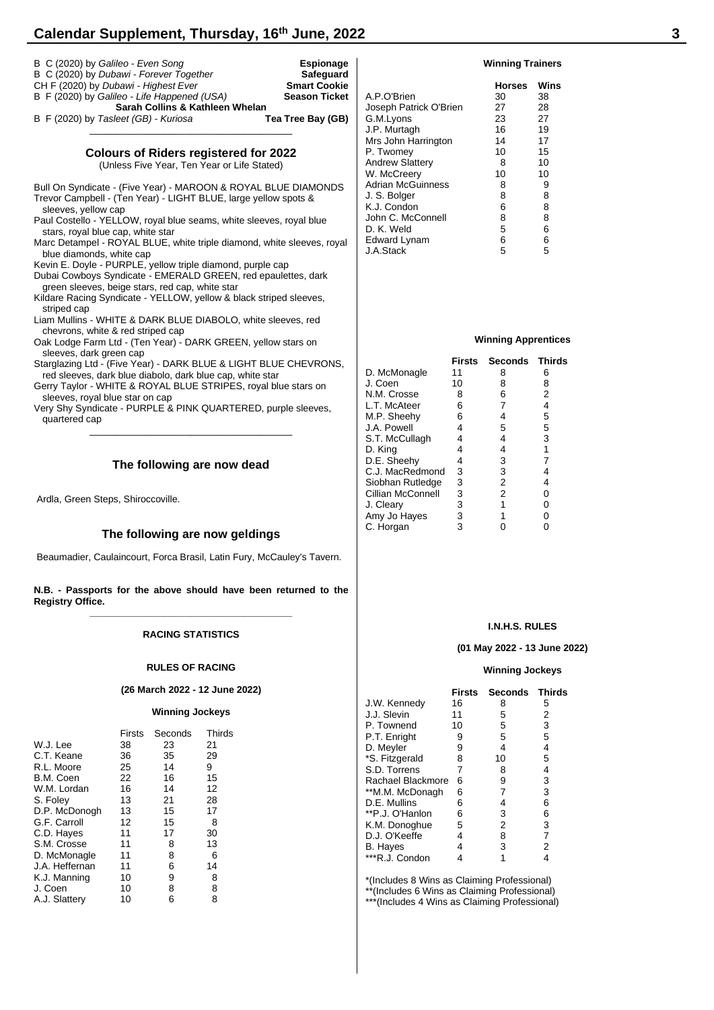# **Calendar Supplement, Thursday, 16th June, 2022 3**

| B C (2020) by Galileo - Even Song<br>B C (2020) by Dubawi - Forever Together<br>CH F (2020) by Dubawi - Highest Ever<br>B F (2020) by Galileo - Life Happened (USA)<br>Sarah Collins & Kathleen Whelan                                                                                                                                                                                                                                                                                                                                                                                                                                                                                                            | Espionage<br>Safeguard<br><b>Smart Cookie</b><br><b>Season Ticket</b><br>A.P.O'<br>Josepl |
|-------------------------------------------------------------------------------------------------------------------------------------------------------------------------------------------------------------------------------------------------------------------------------------------------------------------------------------------------------------------------------------------------------------------------------------------------------------------------------------------------------------------------------------------------------------------------------------------------------------------------------------------------------------------------------------------------------------------|-------------------------------------------------------------------------------------------|
| B F (2020) by Tasleet (GB) - Kuriosa                                                                                                                                                                                                                                                                                                                                                                                                                                                                                                                                                                                                                                                                              | Tea Tree Bay (GB)<br>G.M.L<br>J.P. M<br>Mrs Jc                                            |
| <b>Colours of Riders registered for 2022</b><br>(Unless Five Year, Ten Year or Life Stated)                                                                                                                                                                                                                                                                                                                                                                                                                                                                                                                                                                                                                       | P. Two<br>Andrey                                                                          |
| Bull On Syndicate - (Five Year) - MAROON & ROYAL BLUE DIAMONDS<br>Trevor Campbell - (Ten Year) - LIGHT BLUE, large yellow spots &<br>sleeves, yellow cap<br>Paul Costello - YELLOW, royal blue seams, white sleeves, royal blue<br>stars, royal blue cap, white star<br>Marc Detampel - ROYAL BLUE, white triple diamond, white sleeves, royal<br>blue diamonds, white cap<br>Kevin E. Doyle - PURPLE, yellow triple diamond, purple cap<br>Dubai Cowboys Syndicate - EMERALD GREEN, red epaulettes, dark<br>green sleeves, beige stars, red cap, white star<br>Kildare Racing Syndicate - YELLOW, yellow & black striped sleeves,<br>striped cap<br>Liam Mullins - WHITE & DARK BLUE DIABOLO, white sleeves, red | W. Mc<br>Adrian<br>J. S. B<br>K.J. C<br>John C<br>D. K. V<br>Edwar<br>J.A.Sta             |
| chevrons, white & red striped cap<br>Oak Lodge Farm Ltd - (Ten Year) - DARK GREEN, yellow stars on<br>sleeves, dark green cap                                                                                                                                                                                                                                                                                                                                                                                                                                                                                                                                                                                     |                                                                                           |
| Starglazing Ltd - (Five Year) - DARK BLUE & LIGHT BLUE CHEVRONS,<br>red sleeves, dark blue diabolo, dark blue cap, white star<br>Gerry Taylor - WHITE & ROYAL BLUE STRIPES, royal blue stars on<br>sleeves, royal blue star on cap<br>Very Shy Syndicate - PURPLE & PINK QUARTERED, purple sleeves,<br>quartered cap                                                                                                                                                                                                                                                                                                                                                                                              | D. Mcl<br>J. Coe<br>N.M. C<br>L.T. M<br>M.P. S<br>J.A. Po                                 |
| The following are now dead                                                                                                                                                                                                                                                                                                                                                                                                                                                                                                                                                                                                                                                                                        | S.T. M<br>D. Kin<br>D.E. S<br>C.J. M                                                      |
| Ardla, Green Steps, Shiroccoville.                                                                                                                                                                                                                                                                                                                                                                                                                                                                                                                                                                                                                                                                                | Siobha<br>Cillian<br>J. Clea<br>Amy J                                                     |

# **The following are now geldings**

Beaumadier, Caulaincourt, Forca Brasil, Latin Fury, McCauley's Tavern.

**N.B. - Passports for the above should have been returned to the Registry Office. \_\_\_\_\_\_\_\_\_\_\_\_\_\_\_\_\_\_\_\_\_\_\_\_\_\_\_\_\_\_\_\_\_\_\_\_\_\_**

#### **RACING STATISTICS**

#### **RULES OF RACING**

#### **(26 March 2022 - 12 June 2022)**

#### **Winning Jockeys**

|                | Firsts | Seconds | Thirds |
|----------------|--------|---------|--------|
| W.J. Lee       | 38     | 23      | 21     |
| C.T. Keane     | 36     | 35      | 29     |
| R.L. Moore     | 25     | 14      | 9      |
| B.M. Coen      | 22     | 16      | 15     |
| W.M. Lordan    | 16     | 14      | 12     |
| S. Foley       | 13     | 21      | 28     |
| D.P. McDonogh  | 13     | 15      | 17     |
| G.F. Carroll   | 12     | 15      | 8      |
| C.D. Hayes     | 11     | 17      | 30     |
| S.M. Crosse    | 11     | 8       | 13     |
| D. McMonagle   | 11     | 8       | 6      |
| J.A. Heffernan | 11     | 6       | 14     |
| K.J. Manning   | 10     | 9       | 8      |
| J. Coen        | 10     | 8       | 8      |
| A.J. Slattery  | 10     | 6       | 8      |

#### **Winning Trainers**

|                        | <b>Horses</b> | Wins |
|------------------------|---------------|------|
| A.P.O'Brien            | 30            | 38   |
| Joseph Patrick O'Brien | 27            | 28   |
| G.M.Lyons              | 23            | 27   |
| J.P. Murtagh           | 16            | 19   |
| Mrs John Harrington    | 14            | 17   |
| P. Twomey              | 10            | 15   |
| <b>Andrew Slattery</b> | 8             | 10   |
| W. McCreery            | 10            | 10   |
| Adrian McGuinness      | 8             | 9    |
| J. S. Bolger           | 8             | 8    |
| K.J. Condon            | 6             | 8    |
| John C. McConnell      | 8             | 8    |
| D. K. Weld             | 5             | 6    |
| Edward Lynam           | 6             | 6    |
| J.A.Stack              | 5             | 5    |

#### **Winning Apprentices**

|                   | Firsts | <b>Seconds</b> | Thirds |
|-------------------|--------|----------------|--------|
| D. McMonagle      | 11     | 8              | 6      |
| J. Coen           | 10     | 8              | 8      |
| N.M. Crosse       | 8      | 6              | 2      |
| L.T. McAteer      | 6      | 7              | 4      |
| M.P. Sheehy       | 6      | 4              | 5      |
| J.A. Powell       | 4      | 5              | 5      |
| S.T. McCullagh    | 4      | 4              | 3      |
| D. King           | 4      | 4              | 1      |
| D.E. Sheehy       | 4      | 3              |        |
| C.J. MacRedmond   | 3      | 3              | 4      |
| Siobhan Rutledge  | 3      | 2              | 4      |
| Cillian McConnell | 3      | 2              | 0      |
| J. Clearv         | 3      | 1              | 0      |
| Amy Jo Hayes      | 3      |                | 0      |
| C. Horgan         | 3      |                |        |
|                   |        |                |        |

#### **I.N.H.S. RULES**

#### **(01 May 2022 - 13 June 2022)**

#### **Winning Jockeys**

|                   | <b>Firsts</b> | Seconds Thirds |   |
|-------------------|---------------|----------------|---|
| J.W. Kennedy      | 16            | 8              | 5 |
| J.J. Slevin       | 11            | 5              | 2 |
| P. Townend        | 10            | 5              | 3 |
| P.T. Enright      | 9             | 5              | 5 |
| D. Meyler         | 9             | 4              | 4 |
| *S. Fitzgerald    | 8             | 10             | 5 |
| S.D. Torrens      | 7             | 8              | 4 |
| Rachael Blackmore | 6             | 9              | 3 |
| **M.M. McDonagh   | 6             | 7              | 3 |
| D.E. Mullins      | 6             | 4              | 6 |
| **P.J. O'Hanlon   | 6             | 3              | 6 |
| K.M. Donoghue     | 5             | 2              | 3 |
| D.J. O'Keeffe     | 4             | 8              | 7 |
| B. Hayes          | 4             | 3              | 2 |
| ***R.J. Condon    |               |                |   |

\*(Includes 8 Wins as Claiming Professional) \*\*(Includes 6 Wins as Claiming Professional) \*\*\*(Includes 4 Wins as Claiming Professional)